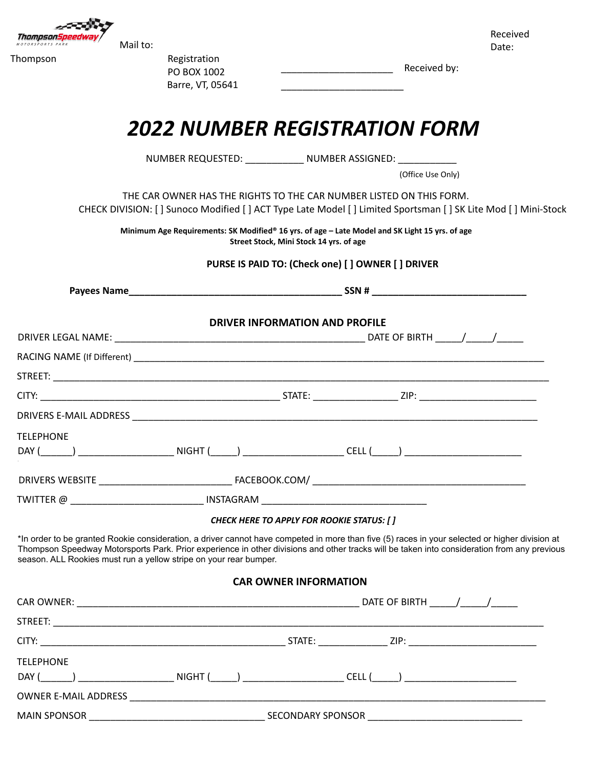

Received Date:

Thompson Registration PO BOX 1002 Barre, VT, 05641

\_\_\_\_\_\_\_\_\_\_\_\_\_\_\_\_\_\_\_\_\_ Received by:

## *2022 NUMBER REGISTRATION FORM*

NUMBER REQUESTED: \_\_\_\_\_\_\_\_\_\_\_ NUMBER ASSIGNED: \_\_\_\_\_\_\_\_\_\_\_

(Office Use Only)

THE CAR OWNER HAS THE RIGHTS TO THE CAR NUMBER LISTED ON THIS FORM. CHECK DIVISION: [ ] Sunoco Modified [ ] ACT Type Late Model [ ] Limited Sportsman [ ] SK Lite Mod [ ] Mini-Stock

\_\_\_\_\_\_\_\_\_\_\_\_\_\_\_\_\_\_\_\_\_\_\_

**Minimum Age Requirements: SK Modified® 16 yrs. of age – Late Model and SK Light 15 yrs. of age Street Stock, Mini Stock 14 yrs. of age**

## **PURSE IS PAID TO: (Check one) [ ] OWNER [ ] DRIVER**

|                                                                   | <b>DRIVER INFORMATION AND PROFILE</b>                                                                                                                                                                                                                                                         |  |
|-------------------------------------------------------------------|-----------------------------------------------------------------------------------------------------------------------------------------------------------------------------------------------------------------------------------------------------------------------------------------------|--|
|                                                                   |                                                                                                                                                                                                                                                                                               |  |
|                                                                   |                                                                                                                                                                                                                                                                                               |  |
|                                                                   |                                                                                                                                                                                                                                                                                               |  |
|                                                                   |                                                                                                                                                                                                                                                                                               |  |
|                                                                   |                                                                                                                                                                                                                                                                                               |  |
| <b>TELEPHONE</b>                                                  | DAY (______) ____________________________NIGHT (_____) _______________________CELL (_____) ___________________                                                                                                                                                                                |  |
|                                                                   |                                                                                                                                                                                                                                                                                               |  |
|                                                                   | TWITTER @ __________________________________ INSTAGRAM __________________________                                                                                                                                                                                                             |  |
|                                                                   | <b>CHECK HERE TO APPLY FOR ROOKIE STATUS: [ ]</b>                                                                                                                                                                                                                                             |  |
| season. ALL Rookies must run a yellow stripe on your rear bumper. | *In order to be granted Rookie consideration, a driver cannot have competed in more than five (5) races in your selected or higher division at<br>Thompson Speedway Motorsports Park. Prior experience in other divisions and other tracks will be taken into consideration from any previous |  |
|                                                                   | <b>CAR OWNER INFORMATION</b>                                                                                                                                                                                                                                                                  |  |
|                                                                   |                                                                                                                                                                                                                                                                                               |  |
|                                                                   |                                                                                                                                                                                                                                                                                               |  |
|                                                                   |                                                                                                                                                                                                                                                                                               |  |
| <b>TELEPHONE</b>                                                  |                                                                                                                                                                                                                                                                                               |  |
|                                                                   | DAY (______) __________________________NIGHT (_____) ______________________CELL (_____) ______________________                                                                                                                                                                                |  |
| <b>OWNER E-MAIL ADDRESS</b>                                       |                                                                                                                                                                                                                                                                                               |  |

MAIN SPONSOR \_\_\_\_\_\_\_\_\_\_\_\_\_\_\_\_\_\_\_\_\_\_\_\_\_\_\_\_\_\_\_\_\_ SECONDARY SPONSOR \_\_\_\_\_\_\_\_\_\_\_\_\_\_\_\_\_\_\_\_\_\_\_\_\_\_\_\_\_